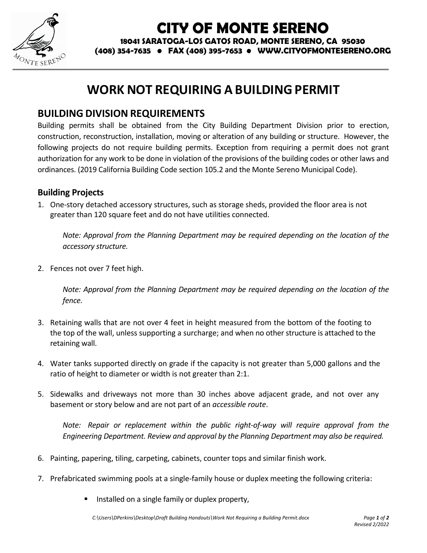

## **CITY OF MONTE SERENO**

**18041 SARATOGA-LOS GATOS ROAD, MONTE SERENO, CA 95030**

**(408) 354-7635 • FAX (408) 395-7653 • WWW.CITYOFMONTESERENO.ORG**

## **WORK NOT REQUIRING A BUILDING PERMIT**

## **BUILDING DIVISION REQUIREMENTS**

Building permits shall be obtained from the City Building Department Division prior to erection, construction, reconstruction, installation, moving or alteration of any building or structure. However, the following projects do not require building permits. Exception from requiring a permit does not grant authorization for any work to be done in violation of the provisions of the building codes or other laws and ordinances. (2019 California Building Code section 105.2 and the Monte Sereno Municipal Code).

## **Building Projects**

1. One-story detached accessory structures, such as storage sheds, provided the floor area is not greater than 120 square feet and do not have utilities connected.

*Note: Approval from the Planning Department may be required depending on the location of the accessory structure.*

2. Fences not over 7 feet high.

*Note: Approval from the Planning Department may be required depending on the location of the fence.* 

- 3. Retaining walls that are not over 4 feet in height measured from the bottom of the footing to the top of the wall, unless supporting a surcharge; and when no other structure is attached to the retaining wall.
- 4. Water tanks supported directly on grade if the capacity is not greater than 5,000 gallons and the ratio of height to diameter or width is not greater than 2:1.
- 5. Sidewalks and driveways not more than 30 inches above adjacent grade, and not over any basement or story below and are not part of an *accessible route*.

*Note: Repair or replacement within the public right-of-way will require approval from the Engineering Department. Review and approval by the Planning Department may also be required.*

- 6. Painting, papering, tiling, carpeting, cabinets, counter tops and similar finish work.
- 7. Prefabricated swimming pools at a single-family house or duplex meeting the following criteria:
	- Installed on a single family or duplex property,